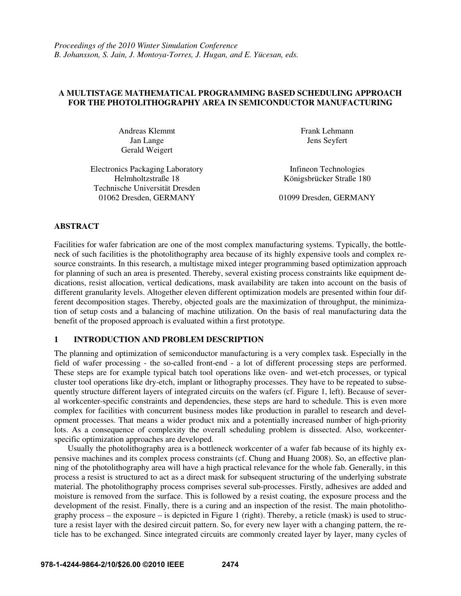# **A MULTISTAGE MATHEMATICAL PROGRAMMING BASED SCHEDULING APPROACH FOR THE PHOTOLITHOGRAPHY AREA IN SEMICONDUCTOR MANUFACTURING**

Andreas Klemmt Frank Lehmann Gerald Weigert

Electronics Packaging Laboratory<br>
Helmholtzstraße 18<br>
Electronics Packaging Laboratory<br>
Infineon Technologies<br>
Infineon Technologies Technische Universität Dresden 01062 Dresden, GERMANY 01099 Dresden, GERMANY

Jan Lange Jens Seyfert

Königsbrücker Straße 180

# **ABSTRACT**

Facilities for wafer fabrication are one of the most complex manufacturing systems. Typically, the bottleneck of such facilities is the photolithography area because of its highly expensive tools and complex resource constraints. In this research, a multistage mixed integer programming based optimization approach for planning of such an area is presented. Thereby, several existing process constraints like equipment dedications, resist allocation, vertical dedications, mask availability are taken into account on the basis of different granularity levels. Altogether eleven different optimization models are presented within four different decomposition stages. Thereby, objected goals are the maximization of throughput, the minimization of setup costs and a balancing of machine utilization. On the basis of real manufacturing data the benefit of the proposed approach is evaluated within a first prototype.

# **1 INTRODUCTION AND PROBLEM DESCRIPTION**

The planning and optimization of semiconductor manufacturing is a very complex task. Especially in the field of wafer processing - the so-called front-end - a lot of different processing steps are performed. These steps are for example typical batch tool operations like oven- and wet-etch processes, or typical cluster tool operations like dry-etch, implant or lithography processes. They have to be repeated to subsequently structure different layers of integrated circuits on the wafers (cf. Figure 1, left). Because of several workcenter-specific constraints and dependencies, these steps are hard to schedule. This is even more complex for facilities with concurrent business modes like production in parallel to research and development processes. That means a wider product mix and a potentially increased number of high-priority lots. As a consequence of complexity the overall scheduling problem is dissected. Also, workcenterspecific optimization approaches are developed.

Usually the photolithography area is a bottleneck workcenter of a wafer fab because of its highly expensive machines and its complex process constraints (cf. Chung and Huang 2008). So, an effective planning of the photolithography area will have a high practical relevance for the whole fab. Generally, in this process a resist is structured to act as a direct mask for subsequent structuring of the underlying substrate material. The photolithography process comprises several sub-processes. Firstly, adhesives are added and moisture is removed from the surface. This is followed by a resist coating, the exposure process and the development of the resist. Finally, there is a curing and an inspection of the resist. The main photolithography process – the exposure – is depicted in Figure 1 (right). Thereby, a reticle (mask) is used to structure a resist layer with the desired circuit pattern. So, for every new layer with a changing pattern, the reticle has to be exchanged. Since integrated circuits are commonly created layer by layer, many cycles of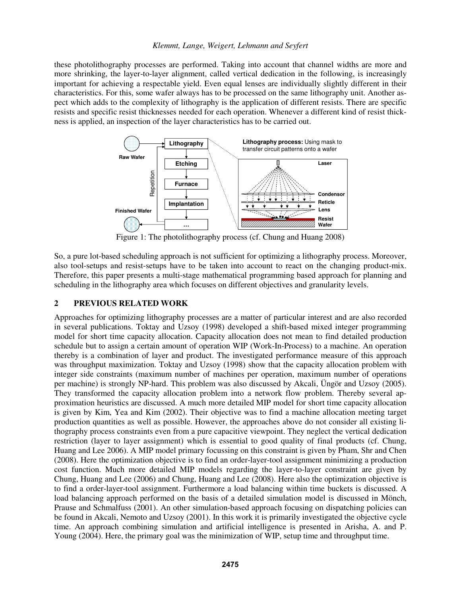these photolithography processes are performed. Taking into account that channel widths are more and more shrinking, the layer-to-layer alignment, called vertical dedication in the following, is increasingly important for achieving a respectable yield. Even equal lenses are individually slightly different in their characteristics. For this, some wafer always has to be processed on the same lithography unit. Another aspect which adds to the complexity of lithography is the application of different resists. There are specific resists and specific resist thicknesses needed for each operation. Whenever a different kind of resist thickness is applied, an inspection of the layer characteristics has to be carried out.



Figure 1: The photolithography process (cf. Chung and Huang 2008)

So, a pure lot-based scheduling approach is not sufficient for optimizing a lithography process. Moreover, also tool-setups and resist-setups have to be taken into account to react on the changing product-mix. Therefore, this paper presents a multi-stage mathematical programming based approach for planning and scheduling in the lithography area which focuses on different objectives and granularity levels.

# **2 PREVIOUS RELATED WORK**

Approaches for optimizing lithography processes are a matter of particular interest and are also recorded in several publications. Toktay and Uzsoy (1998) developed a shift-based mixed integer programming model for short time capacity allocation. Capacity allocation does not mean to find detailed production schedule but to assign a certain amount of operation WIP (Work-In-Process) to a machine. An operation thereby is a combination of layer and product. The investigated performance measure of this approach was throughput maximization. Toktay and Uzsoy (1998) show that the capacity allocation problem with integer side constraints (maximum number of machines per operation, maximum number of operations per machine) is strongly NP-hard. This problem was also discussed by Akcali, Üngör and Uzsoy (2005). They transformed the capacity allocation problem into a network flow problem. Thereby several approximation heuristics are discussed. A much more detailed MIP model for short time capacity allocation is given by Kim, Yea and Kim (2002). Their objective was to find a machine allocation meeting target production quantities as well as possible. However, the approaches above do not consider all existing lithography process constraints even from a pure capacitive viewpoint. They neglect the vertical dedication restriction (layer to layer assignment) which is essential to good quality of final products (cf. Chung, Huang and Lee 2006). A MIP model primary focussing on this constraint is given by Pham, Shr and Chen (2008). Here the optimization objective is to find an order-layer-tool assignment minimizing a production cost function. Much more detailed MIP models regarding the layer-to-layer constraint are given by Chung, Huang and Lee (2006) and Chung, Huang and Lee (2008). Here also the optimization objective is to find a order-layer-tool assignment. Furthermore a load balancing within time buckets is discussed. A load balancing approach performed on the basis of a detailed simulation model is discussed in Mönch, Prause and Schmalfuss (2001). An other simulation-based approach focusing on dispatching policies can be found in Akcali, Nemoto and Uzsoy (2001). In this work it is primarily investigated the objective cycle time. An approach combining simulation and artificial intelligence is presented in Arisha, A. and P. Young (2004). Here, the primary goal was the minimization of WIP, setup time and throughput time.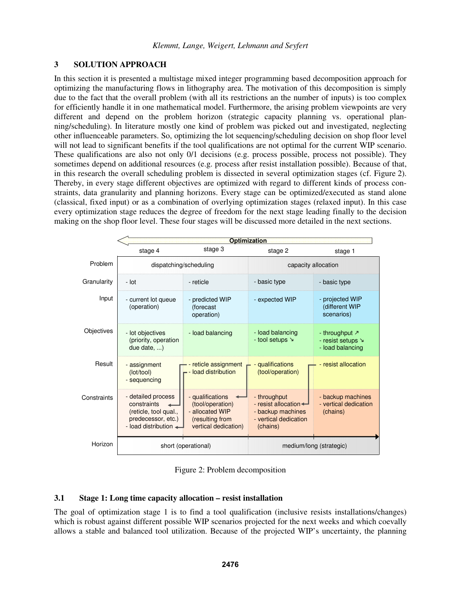# **3 SOLUTION APPROACH**

In this section it is presented a multistage mixed integer programming based decomposition approach for optimizing the manufacturing flows in lithography area. The motivation of this decomposition is simply due to the fact that the overall problem (with all its restrictions an the number of inputs) is too complex for efficiently handle it in one mathematical model. Furthermore, the arising problem viewpoints are very different and depend on the problem horizon (strategic capacity planning vs. operational planning/scheduling). In literature mostly one kind of problem was picked out and investigated, neglecting other influenceable parameters. So, optimizing the lot sequencing/scheduling decision on shop floor level will not lead to significant benefits if the tool qualifications are not optimal for the current WIP scenario. These qualifications are also not only 0/1 decisions (e.g. process possible, process not possible). They sometimes depend on additional resources (e.g. process after resist installation possible). Because of that, in this research the overall scheduling problem is dissected in several optimization stages (cf. Figure 2). Thereby, in every stage different objectives are optimized with regard to different kinds of process constraints, data granularity and planning horizons. Every stage can be optimized/executed as stand alone (classical, fixed input) or as a combination of overlying optimization stages (relaxed input). In this case every optimization stage reduces the degree of freedom for the next stage leading finally to the decision making on the shop floor level. These four stages will be discussed more detailed in the next sections.

|             |                                                                                                           |                                                                                                    | <b>Optimization</b>                                                                                        |                                                                 |
|-------------|-----------------------------------------------------------------------------------------------------------|----------------------------------------------------------------------------------------------------|------------------------------------------------------------------------------------------------------------|-----------------------------------------------------------------|
|             | stage 4                                                                                                   | stage 3                                                                                            | stage 2                                                                                                    | stage 1                                                         |
| Problem     | dispatching/scheduling                                                                                    |                                                                                                    | capacity allocation                                                                                        |                                                                 |
| Granularity | - lot                                                                                                     | - reticle                                                                                          | - basic type                                                                                               | - basic type                                                    |
| Input       | - current lot queue<br>(operation)                                                                        | - predicted WIP<br>(forecast<br>operation)                                                         | - expected WIP                                                                                             | - projected WIP<br>(different WIP<br>scenarios)                 |
| Objectives  | - lot objectives<br>(priority, operation<br>due date, $\dots$ )                                           | - load balancing                                                                                   | - load balancing<br>- tool setups $\vee$                                                                   | - throughput $\lambda$<br>- resist setups ><br>- load balancing |
| Result      | - assignment<br>(lot/tool)<br>- sequencing                                                                | reticle assignment<br>load distribution                                                            | qualifications<br>(tool/operation)                                                                         | resist allocation                                               |
| Constraints | - detailed process<br>constraints<br>(reticle, tool qual.,<br>predecessor, etc.)<br>- load distribution - | - qualifications<br>(tool/operation)<br>- allocated WIP<br>(resulting from<br>vertical dedication) | - throughput<br>- resist allocation $\leftarrow$<br>- backup machines<br>- vertical dedication<br>(chains) | - backup machines<br>- vertical dedication<br>(chains)          |
| Horizon     |                                                                                                           | short (operational)                                                                                |                                                                                                            | medium/long (strategic)                                         |

Figure 2: Problem decomposition

# **3.1 Stage 1: Long time capacity allocation – resist installation**

The goal of optimization stage 1 is to find a tool qualification (inclusive resists installations/changes) which is robust against different possible WIP scenarios projected for the next weeks and which coevally allows a stable and balanced tool utilization. Because of the projected WIP's uncertainty, the planning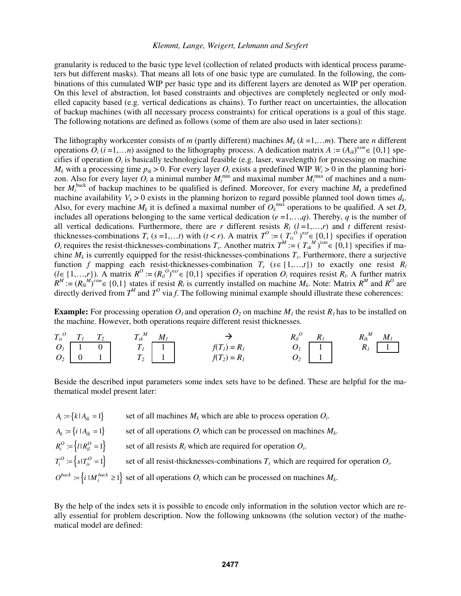granularity is reduced to the basic type level (collection of related products with identical process parameters but different masks). That means all lots of one basic type are cumulated. In the following, the combinations of this cumulated WIP per basic type and its different layers are denoted as WIP per operation. On this level of abstraction, lot based constraints and objectives are completely neglected or only modelled capacity based (e.g. vertical dedications as chains). To further react on uncertainties, the allocation of backup machines (with all necessary process constraints) for critical operations is a goal of this stage. The following notations are defined as follows (some of them are also used in later sections):

The lithography workcenter consists of *m* (partly different) machines  $M_k$  ( $k = 1,...,m$ ). There are *n* different operations  $O_i$  ( $i = 1,...n$ ) assigned to the lithography process. A dedication matrix  $A := (A_{ik})^{n \times m} \in \{0,1\}$  specifies if operation  $O_i$  is basically technological feasible (e.g. laser, wavelength) for processing on machine  $M_k$  with a processing time  $p_{ik} > 0$ . For every layer  $O_i$  exists a predefined WIP  $W_i > 0$  in the planning horizon. Also for every layer  $O_i$  a minimal number  $M_i^{\text{min}}$  and maximal number  $M_i^{\text{max}}$  of machines and a number  $M_i^{\text{back}}$  of backup machines to be qualified is defined. Moreover, for every machine  $M_k$  a predefined machine availability  $V_k > 0$  exists in the planning horizon to regard possible planned tool down times  $d_k$ . Also, for every machine  $M_k$  it is defined a maximal number of  $O_k^{\max}$  operations to be qualified. A set  $D_e$ includes all operations belonging to the same vertical dedication ( $e = 1, \ldots, q$ ). Thereby,  $q$  is the number of all vertical dedications. Furthermore, there are *r* different resists  $R_l$  ( $l = 1,...,r$ ) and *t* different resistthicknesses-combinations  $T_s$  ( $s = 1,...t$ ) with ( $t < r$ ). A matrix  $T^O := (T_{is}^O)^{n \times t} \in \{0,1\}$  specifies if operation *O<sub>i</sub>* requires the resist-thicknesses-combinations *T<sub>s</sub>*. Another matrix  $T^M$  := ( $T_{sk}^M$ )<sup>*txm*</sup>∈{0,1}</sub> specifies if machine  $M_k$  is currently equipped for the resist-thicknesses-combinations  $T_s$ . Furthermore, there a surjective function *f* mapping each resist-thicknesses-combination  $T_s$  ( $s \in \{1,...,t\}$ ) to exactly one resist  $R_l$  $(l \in \{1,...,r\})$ . A matrix  $R^O := (R_i^O)^{nvr} \in \{0,1\}$  specifies if operation  $O_i$  requires resist  $R_i$ . A further matrix  $R^M := (R_k^M)^{r \times m} \in \{0,1\}$  states if resist  $R_l$  is currently installed on machine  $M_k$ . Note: Matrix  $R^M$  and  $R^O$  are directly derived from  $T^M$  and  $T^O$  via *f*. The following minimal example should illustrate these coherences:

**Example:** For processing operation  $O_1$  and operation  $O_2$  on machine  $M_1$  the resist  $R_1$  has to be installed on the machine. However, both operations require different resist thicknesses.

| $T_{is}^{\ \ O}$ |  | $T^M$<br>$M_{I}$ | $R_{il}^{\quad \nu}$ |  | $R_{lk}^{\ \ M}$ | $M_I$ |
|------------------|--|------------------|----------------------|--|------------------|-------|
| $ O_I $          |  | $T_I$            | $f(T_I) = R_I$       |  | $R_I$            |       |
| $O_2$            |  | T <sub>2</sub>   | $f(T_2) = R_1$       |  |                  |       |

Beside the described input parameters some index sets have to be defined. These are helpful for the mathematical model present later:

| $A_i := \{k   A_{ik} = 1\}$       | set of all machines $M_k$ which are able to process operation $O_i$ .                                        |
|-----------------------------------|--------------------------------------------------------------------------------------------------------------|
| $A_k := \{i   A_{ik} = 1\}$       | set of all operations $O_i$ which can be processed on machines $M_k$ .                                       |
| $R_i^O := \{l   R_{il}^O = 1\}$   | set of all resists $R_l$ which are required for operation $O_i$ .                                            |
| $T_i^O := \{ s   T_{is}^O = 1 \}$ | set of all resist-thicknesses-combinations $T_s$ which are required for operation $O_i$ .                    |
|                                   | $O^{back} = \{i   M_i^{back} \ge 1\}$ set of all operations $O_i$ which can be processed on machines $M_k$ . |

By the help of the index sets it is possible to encode only information in the solution vector which are really essential for problem description. Now the following unknowns (the solution vector) of the mathematical model are defined: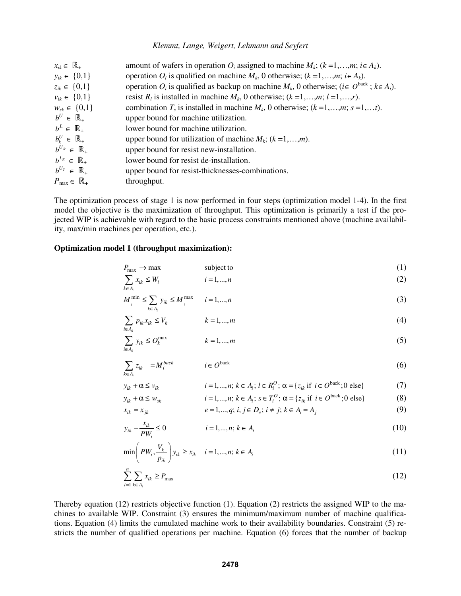| $x_{ik} \in \mathbb{R}_+$         | amount of wafers in operation $O_i$ assigned to machine $M_k$ ; $(k=1,,m; i \in A_k)$ .                    |
|-----------------------------------|------------------------------------------------------------------------------------------------------------|
| $y_{ik} \in \{0,1\}$              | operation $O_i$ is qualified on machine $M_k$ , 0 otherwise; $(k = 1, , m; i \in A_k)$ .                   |
| $z_{ik} \in \{0,1\}$              | operation $O_i$ is qualified as backup on machine $M_k$ , 0 otherwise; ( $i \in O^{back}$ ; $k \in A_i$ ). |
| $v_{lk} \in \{0,1\}$              | resist $R_l$ is installed in machine $M_k$ , 0 otherwise; $(k = 1, , m; l = 1, , r)$ .                     |
| $W_{sk} \in \{0,1\}$              | combination $T_s$ is installed in machine $M_k$ , 0 otherwise; $(k = 1, \ldots, m; s = 1, \ldots, t)$ .    |
| $b^U \in \mathbb{R}_+$            | upper bound for machine utilization.                                                                       |
| $b^L \in \mathbb{R}_+$            | lower bound for machine utilization.                                                                       |
| $b_k^U \in \mathbb{R}_+$          | upper bound for utilization of machine $M_k$ ; $(k=1,,m)$ .                                                |
| $b^{U_R} \in \mathbb{R}_+$        | upper bound for resist new-installation.                                                                   |
| $b^{L_R} \in \mathbb{R}_+$        | lower bound for resist de-installation.                                                                    |
| $b^{U_T} \in \mathbb{R}_+$        | upper bound for resist-thicknesses-combinations.                                                           |
| $P_{\text{max}} \in \mathbb{R}_+$ | throughput.                                                                                                |

The optimization process of stage 1 is now performed in four steps (optimization model 1-4). In the first model the objective is the maximization of throughput. This optimization is primarily a test if the projected WIP is achievable with regard to the basic process constraints mentioned above (machine availability, max/min machines per operation, etc.).

## **Optimization model 1 (throughput maximization):**

$$
P_{\text{max}} \to \text{max} \qquad \text{subject to} \tag{1}
$$

$$
\sum_{k \in A_i} x_{ik} \le W_i \qquad i = 1, \dots, n \tag{2}
$$

$$
M_i^{\min} \le \sum_{k \in A_i} y_{ik} \le M_i^{\max} \qquad i = 1, ..., n
$$
 (3)

$$
\sum_{i \in A_k} p_{ik} x_{ik} \le V_k \qquad k = 1, \dots, m \tag{4}
$$

$$
\sum_{i \in A_k} y_{ik} \le O_k^{\max} \qquad k = 1, \dots, m \tag{5}
$$

$$
\sum_{k \in A_i} z_{ik} = M_i^{back} \qquad i \in O^{back} \tag{6}
$$

$$
y_{ik} + \alpha \le v_{lk} \qquad i = 1,...,n; k \in A_i; l \in R_i^O; \alpha = \{z_{ik} \text{ if } i \in O^{\text{back}}; 0 \text{ else}\}\tag{7}
$$

$$
y_{ik} + \alpha \le w_{sk} \qquad i = 1,...,n; k \in A_i; s \in T_i^O; \alpha = \{z_{ik} \text{ if } i \in O^{\text{back}}; 0 \text{ else}\}\tag{8}
$$

$$
x_{ik} = x_{jk} \qquad e = 1, \dots, q; \ i, j \in D_e; \ i \neq j; \ k \in A_i = A_j \tag{9}
$$

$$
y_{ik} - \frac{x_{ik}}{PW_i} \le 0 \qquad i = 1, ..., n; k \in A_i
$$
 (10)

$$
\min\left(PW_i, \frac{V_k}{p_{ik}}\right) y_{ik} \ge x_{ik} \quad i = 1, ..., n; k \in A_i
$$
\n(11)

$$
\sum_{i=1}^{n} \sum_{k \in A_i} x_{ik} \ge P_{\text{max}}
$$
 (12)

Thereby equation (12) restricts objective function (1). Equation (2) restricts the assigned WIP to the machines to available WIP. Constraint (3) ensures the minimum/maximum number of machine qualifications. Equation (4) limits the cumulated machine work to their availability boundaries. Constraint (5) restricts the number of qualified operations per machine. Equation (6) forces that the number of backup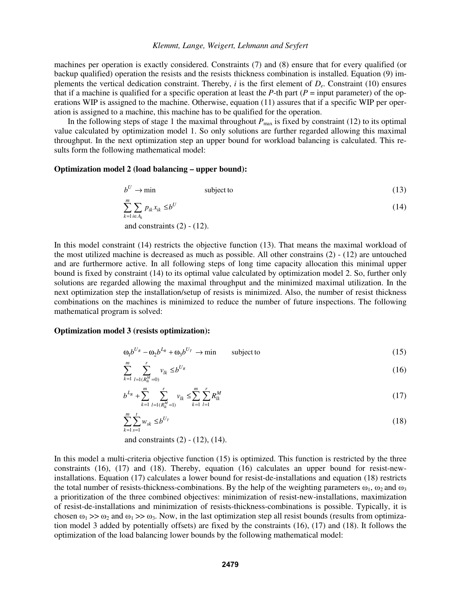machines per operation is exactly considered. Constraints (7) and (8) ensure that for every qualified (or backup qualified) operation the resists and the resists thickness combination is installed. Equation (9) implements the vertical dedication constraint. Thereby, *i* is the first element of *De*. Constraint (10) ensures that if a machine is qualified for a specific operation at least the *P*-th part ( $P =$  input parameter) of the operations WIP is assigned to the machine. Otherwise, equation (11) assures that if a specific WIP per operation is assigned to a machine, this machine has to be qualified for the operation.

In the following steps of stage 1 the maximal throughout  $P_{\text{max}}$  is fixed by constraint (12) to its optimal value calculated by optimization model 1. So only solutions are further regarded allowing this maximal throughput. In the next optimization step an upper bound for workload balancing is calculated. This results form the following mathematical model:

## **Optimization model 2 (load balancing – upper bound):**

$$
b^U \to \min \tag{13}
$$

$$
\sum_{k=1}^{m} \sum_{i \in A_k} p_{ik} x_{ik} \le b^U \tag{14}
$$

and constraints 
$$
(2) - (12)
$$
.

In this model constraint (14) restricts the objective function (13). That means the maximal workload of the most utilized machine is decreased as much as possible. All other constrains  $(2) - (12)$  are untouched and are furthermore active. In all following steps of long time capacity allocation this minimal upper bound is fixed by constraint (14) to its optimal value calculated by optimization model 2. So, further only solutions are regarded allowing the maximal throughput and the minimized maximal utilization. In the next optimization step the installation/setup of resists is minimized. Also, the number of resist thickness combinations on the machines is minimized to reduce the number of future inspections. The following mathematical program is solved:

# **Optimization model 3 (resists optimization):**

$$
\omega_1 b^{U_R} - \omega_2 b^{L_R} + \omega_3 b^{U_T} \to \min \qquad \text{subject to} \tag{15}
$$

$$
\sum_{k=1}^{m} \sum_{l=1 \, (R_k^M = 0)}^{r} v_{lk} \le b^{U_R} \tag{16}
$$

$$
b^{L_R} + \sum_{k=1}^{m} \sum_{l=1 \, (R_k^M = 1)}^{r} v_{lk} \le \sum_{k=1}^{m} \sum_{l=1}^{r} R_{lk}^M \tag{17}
$$

$$
\sum_{k=1}^{m} \sum_{s=1}^{t} w_{sk} \le b^{U_T} \tag{18}
$$

and constraints (2) - (12), (14).

In this model a multi-criteria objective function (15) is optimized. This function is restricted by the three constraints (16), (17) and (18). Thereby, equation (16) calculates an upper bound for resist-newinstallations. Equation (17) calculates a lower bound for resist-de-installations and equation (18) restricts the total number of resists-thickness-combinations. By the help of the weighting parameters  $\omega_1$ ,  $\omega_2$  and  $\omega_3$ a prioritization of the three combined objectives: minimization of resist-new-installations, maximization of resist-de-installations and minimization of resists-thickness-combinations is possible. Typically, it is chosen  $\omega_1$  >>  $\omega_2$  and  $\omega_1$  >>  $\omega_3$ . Now, in the last optimization step all resist bounds (results from optimization model 3 added by potentially offsets) are fixed by the constraints (16), (17) and (18). It follows the optimization of the load balancing lower bounds by the following mathematical model: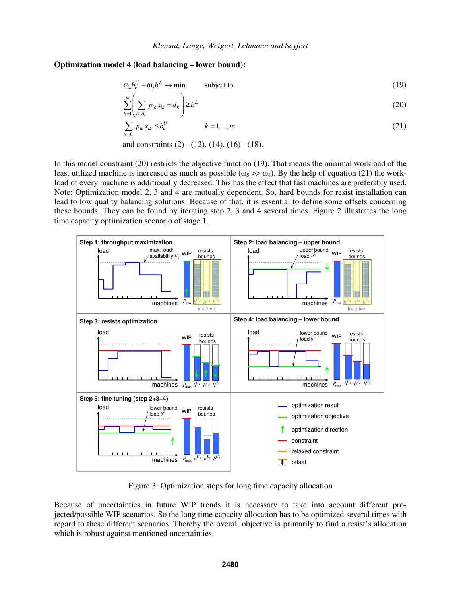#### **Optimization model 4 (load balancing – lower bound):**

$$
\omega_4 b_k^U - \omega_5 b^L \to \min \qquad \text{subject to} \tag{19}
$$

$$
\sum_{k=1}^{m} \left( \sum_{i \in A_k} p_{ik} x_{ik} + d_k \right) \ge b^L \tag{20}
$$

$$
\sum_{i\in A_k} p_{ik} x_{ik} \le b_k^U \qquad k = 1, \dots, m \tag{21}
$$

and constraints (2) - (12), (14), (16) - (18).

In this model constraint (20) restricts the objective function (19). That means the minimal workload of the least utilized machine is increased as much as possible ( $\omega_5 \gg \omega_4$ ). By the help of equation (21) the workload of every machine is additionally decreased. This has the effect that fast machines are preferably used. Note: Optimization model 2, 3 and 4 are mutually dependent. So, hard bounds for resist installation can lead to low quality balancing solutions. Because of that, it is essential to define some offsets concerning these bounds. They can be found by iterating step 2, 3 and 4 several times. Figure 2 illustrates the long time capacity optimization scenario of stage 1.



Figure 3: Optimization steps for long time capacity allocation

Because of uncertainties in future WIP trends it is necessary to take into account different projected/possible WIP scenarios. So the long time capacity allocation has to be optimized several times with regard to these different scenarios. Thereby the overall objective is primarily to find a resist's allocation which is robust against mentioned uncertainties.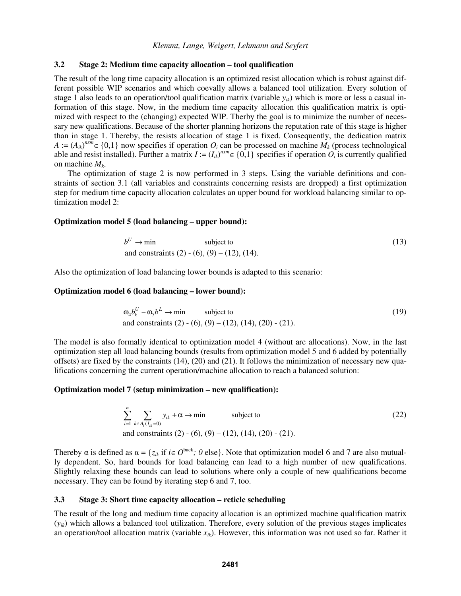### **3.2 Stage 2: Medium time capacity allocation – tool qualification**

The result of the long time capacity allocation is an optimized resist allocation which is robust against different possible WIP scenarios and which coevally allows a balanced tool utilization. Every solution of stage 1 also leads to an operation/tool qualification matrix (variable  $y_{ik}$ ) which is more or less a casual information of this stage. Now, in the medium time capacity allocation this qualification matrix is optimized with respect to the (changing) expected WIP. Therby the goal is to minimize the number of necessary new qualifications. Because of the shorter planning horizons the reputation rate of this stage is higher than in stage 1. Thereby, the resists allocation of stage 1 is fixed. Consequently, the dedication matrix *A* :=  $(A_{ik})^{n \times m}$  ∈ {0,1} now specifies if operation *O<sub>i</sub>* can be processed on machine  $M_k$  (process technological able and resist installed). Further a matrix  $I := (I_{ik})^{n \times m} \in \{0,1\}$  specifies if operation  $O_i$  is currently qualified on machine  $M_k$ .

The optimization of stage 2 is now performed in 3 steps. Using the variable definitions and constraints of section 3.1 (all variables and constraints concerning resists are dropped) a first optimization step for medium time capacity allocation calculates an upper bound for workload balancing similar to optimization model 2:

#### **Optimization model 5 (load balancing – upper bound):**

$$
b^U \to \min \qquad \text{subject to} \tag{13}
$$
  
and constraints (2) - (6), (9) - (12), (14).

Also the optimization of load balancing lower bounds is adapted to this scenario:

#### **Optimization model 6 (load balancing – lower bound):**

$$
\omega_4 b_k^U - \omega_5 b^L \to \min \qquad \text{subject to} \tag{19}
$$
  
and constraints (2) - (6), (9) - (12), (14), (20) - (21).

The model is also formally identical to optimization model 4 (without arc allocations). Now, in the last optimization step all load balancing bounds (results from optimization model 5 and 6 added by potentially offsets) are fixed by the constraints (14), (20) and (21). It follows the minimization of necessary new qualifications concerning the current operation/machine allocation to reach a balanced solution:

### **Optimization model 7 (setup minimization – new qualification):**

$$
\sum_{i=1}^{n} \sum_{k \in A_i(I_{ik}=0)} y_{ik} + \alpha \to \min \qquad \text{subject to} \tag{22}
$$
  
and constraints (2) - (6), (9) - (12), (14), (20) - (21).

Thereby  $\alpha$  is defined as  $\alpha = \{z_{ik} \text{ if } i \in O^{\text{back}}; 0 \text{ else } \}.$  Note that optimization model 6 and 7 are also mutually dependent. So, hard bounds for load balancing can lead to a high number of new qualifications. Slightly relaxing these bounds can lead to solutions where only a couple of new qualifications become necessary. They can be found by iterating step 6 and 7, too.

#### **3.3 Stage 3: Short time capacity allocation – reticle scheduling**

The result of the long and medium time capacity allocation is an optimized machine qualification matrix (*yik*) which allows a balanced tool utilization. Therefore, every solution of the previous stages implicates an operation/tool allocation matrix (variable  $x_{ik}$ ). However, this information was not used so far. Rather it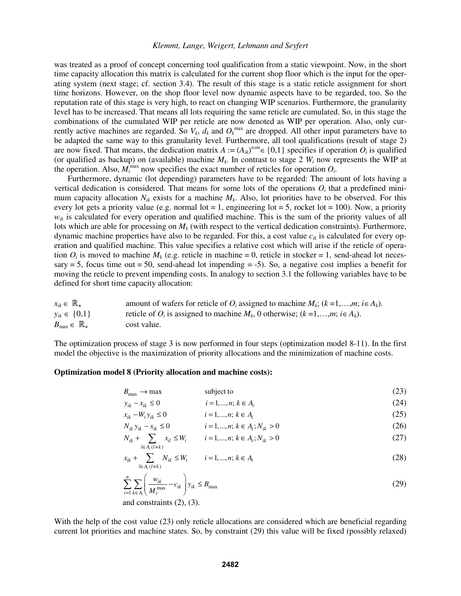was treated as a proof of concept concerning tool qualification from a static viewpoint. Now, in the short time capacity allocation this matrix is calculated for the current shop floor which is the input for the operating system (next stage; cf. section 3.4). The result of this stage is a static reticle assignment for short time horizons. However, on the shop floor level now dynamic aspects have to be regarded, too. So the reputation rate of this stage is very high, to react on changing WIP scenarios. Furthermore, the granularity level has to be increased. That means all lots requiring the same reticle are cumulated. So, in this stage the combinations of the cumulated WIP per reticle are now denoted as WIP per operation. Also, only currently active machines are regarded. So  $V_k$ ,  $d_k$  and  $O_k^{\max}$  are dropped. All other input parameters have to be adapted the same way to this granularity level. Furthermore, all tool qualifications (result of stage 2) are now fixed. That means, the dedication matrix  $A := (A_{ik})^{n \times m} \in \{0,1\}$  specifies if operation  $O_i$  is qualified (or qualified as backup) on (available) machine  $M_k$ . In contrast to stage 2  $W_i$  now represents the WIP at the operation. Also,  $M_i^{\text{max}}$  now specifies the exact number of reticles for operation  $O_i$ .

Furthermore, dynamic (lot depending) parameters have to be regarded: The amount of lots having a vertical dedication is considered. That means for some lots of the operations  $O_i$  that a predefined minimum capacity allocation  $N_{ik}$  exists for a machine  $M_k$ . Also, lot priorities have to be observed. For this every lot gets a priority value (e.g. normal lot = 1, engineering lot = 5, rocket lot = 100). Now, a priority  $w_{ik}$  is calculated for every operation and qualified machine. This is the sum of the priority values of all lots which are able for processing on  $M_k$  (with respect to the vertical dedication constraints). Furthermore, dynamic machine properties have also to be regarded. For this, a cost value  $c_{ik}$  is calculated for every operation and qualified machine. This value specifies a relative cost which will arise if the reticle of operation  $O_i$  is moved to machine  $M_k$  (e.g. reticle in machine = 0, reticle in stocker = 1, send-ahead lot necessary  $= 5$ , focus time out  $= 50$ , send-ahead lot impending  $= -5$ ). So, a negative cost implies a benefit for moving the reticle to prevent impending costs. In analogy to section 3.1 the following variables have to be defined for short time capacity allocation:

| $x_{ik} \in \mathbb{R}_+$         | amount of wafers for reticle of $O_i$ assigned to machine $M_k$ ; $(k = 1, , m; i \in A_k)$ . |
|-----------------------------------|-----------------------------------------------------------------------------------------------|
| $y_{ik} \in \{0,1\}$              | reticle of $O_i$ is assigned to machine $M_k$ , 0 otherwise; $(k = 1, , m; i \in A_k)$ .      |
| $B_{\text{max}} \in \mathbb{R}_+$ | cost value.                                                                                   |

The optimization process of stage 3 is now performed in four steps (optimization model 8-11). In the first model the objective is the maximization of priority allocations and the minimization of machine costs.

## **Optimization model 8 (Priority allocation and machine costs):**

$$
B_{\text{max}} \to \text{max} \qquad \text{subject to} \tag{23}
$$

$$
y_{ik} - x_{ik} \le 0 \qquad i = 1, \dots, n; k \in A_i \tag{24}
$$

$$
x_{ik} - W_i y_{ik} \le 0 \t i = 1,...,n; k \in A_i
$$
  
\n
$$
N_{ik} y_{ik} - x_{ik} \le 0 \t i = 1,...,n; k \in A_i; N_{ik} > 0
$$
\n(25)

$$
N_{ik} + \sum_{l \in A_i (l \neq k)}^N x_{il} \le W_i \qquad i = 1,...,n; k \in A_i; N_{ik} > 0
$$
 (27)

$$
x_{ik} + \sum_{l \in A_i (l \neq k)} N_{ik} \le W_i \qquad i = 1, ..., n; k \in A_i
$$
 (28)

$$
\sum_{i=1}^{n} \sum_{k \in A_i} \left( \frac{w_{ik}}{M_i^{\max}} - c_{ik} \right) y_{ik} \le B_{\max} \tag{29}
$$

and constraints (2), (3).

With the help of the cost value (23) only reticle allocations are considered which are beneficial regarding current lot priorities and machine states. So, by constraint (29) this value will be fixed (possibly relaxed)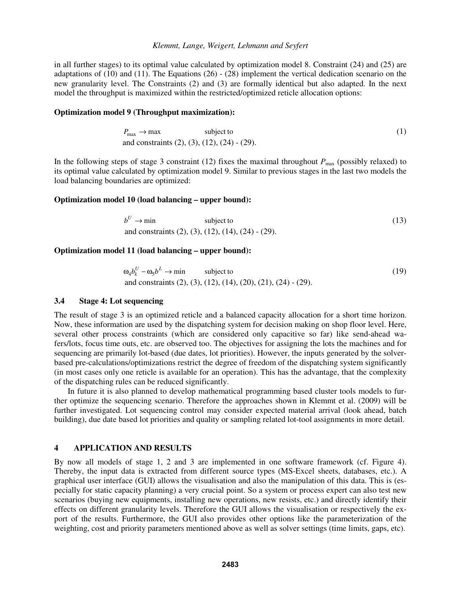in all further stages) to its optimal value calculated by optimization model 8. Constraint (24) and (25) are adaptations of (10) and (11). The Equations (26) - (28) implement the vertical dedication scenario on the new granularity level. The Constraints (2) and (3) are formally identical but also adapted. In the next model the throughput is maximized within the restricted/optimized reticle allocation options:

# **Optimization model 9 (Throughput maximization):**

$$
P_{\text{max}} \to \text{max} \qquad \text{subject to} \tag{1}
$$
  
and constraints (2), (3), (12), (24) - (29).

In the following steps of stage 3 constraint (12) fixes the maximal throughout  $P_{\text{max}}$  (possibly relaxed) to its optimal value calculated by optimization model 9. Similar to previous stages in the last two models the load balancing boundaries are optimized:

#### **Optimization model 10 (load balancing – upper bound):**

$$
b^U \to \min
$$
 subject to  
and constraints (2), (3), (12), (14), (24) - (29). (13)

#### **Optimization model 11 (load balancing – upper bound):**

$$
\omega_4 b_k^U - \omega_5 b^L \to \min \qquad \text{subject to} \tag{19}
$$
  
and constraints (2), (3), (12), (14), (20), (21), (24) - (29).

#### **3.4 Stage 4: Lot sequencing**

The result of stage 3 is an optimized reticle and a balanced capacity allocation for a short time horizon. Now, these information are used by the dispatching system for decision making on shop floor level. Here, several other process constraints (which are considered only capacitive so far) like send-ahead wafers/lots, focus time outs, etc. are observed too. The objectives for assigning the lots the machines and for sequencing are primarily lot-based (due dates, lot priorities). However, the inputs generated by the solverbased pre-calculations/optimizations restrict the degree of freedom of the dispatching system significantly (in most cases only one reticle is available for an operation). This has the advantage, that the complexity of the dispatching rules can be reduced significantly.

In future it is also planned to develop mathematical programming based cluster tools models to further optimize the sequencing scenario. Therefore the approaches shown in Klemmt et al. (2009) will be further investigated. Lot sequencing control may consider expected material arrival (look ahead, batch building), due date based lot priorities and quality or sampling related lot-tool assignments in more detail.

## **4 APPLICATION AND RESULTS**

By now all models of stage 1, 2 and 3 are implemented in one software framework (cf. Figure 4). Thereby, the input data is extracted from different source types (MS-Excel sheets, databases, etc.). A graphical user interface (GUI) allows the visualisation and also the manipulation of this data. This is (especially for static capacity planning) a very crucial point. So a system or process expert can also test new scenarios (buying new equipments, installing new operations, new resists, etc.) and directly identify their effects on different granularity levels. Therefore the GUI allows the visualisation or respectively the export of the results. Furthermore, the GUI also provides other options like the parameterization of the weighting, cost and priority parameters mentioned above as well as solver settings (time limits, gaps, etc).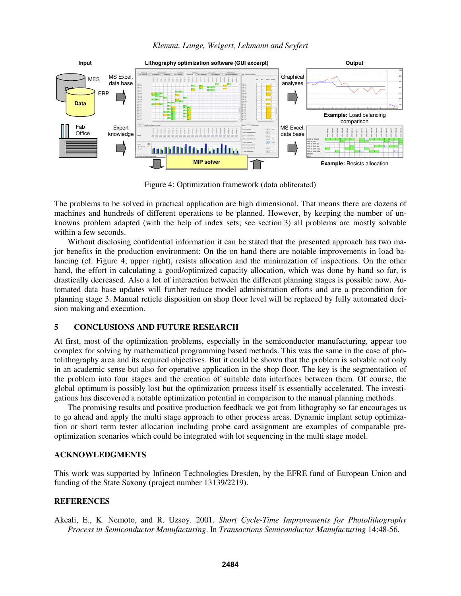

Figure 4: Optimization framework (data obliterated)

The problems to be solved in practical application are high dimensional. That means there are dozens of machines and hundreds of different operations to be planned. However, by keeping the number of unknowns problem adapted (with the help of index sets; see section 3) all problems are mostly solvable within a few seconds.

Without disclosing confidential information it can be stated that the presented approach has two major benefits in the production environment: On the on hand there are notable improvements in load balancing (cf. Figure 4; upper right), resists allocation and the minimization of inspections. On the other hand, the effort in calculating a good/optimized capacity allocation, which was done by hand so far, is drastically decreased. Also a lot of interaction between the different planning stages is possible now. Automated data base updates will further reduce model administration efforts and are a precondition for planning stage 3. Manual reticle disposition on shop floor level will be replaced by fully automated decision making and execution.

## **5 CONCLUSIONS AND FUTURE RESEARCH**

At first, most of the optimization problems, especially in the semiconductor manufacturing, appear too complex for solving by mathematical programming based methods. This was the same in the case of photolithography area and its required objectives. But it could be shown that the problem is solvable not only in an academic sense but also for operative application in the shop floor. The key is the segmentation of the problem into four stages and the creation of suitable data interfaces between them. Of course, the global optimum is possibly lost but the optimization process itself is essentially accelerated. The investigations has discovered a notable optimization potential in comparison to the manual planning methods.

The promising results and positive production feedback we got from lithography so far encourages us to go ahead and apply the multi stage approach to other process areas. Dynamic implant setup optimization or short term tester allocation including probe card assignment are examples of comparable preoptimization scenarios which could be integrated with lot sequencing in the multi stage model.

## **ACKNOWLEDGMENTS**

This work was supported by Infineon Technologies Dresden, by the EFRE fund of European Union and funding of the State Saxony (project number 13139/2219).

# **REFERENCES**

Akcali, E., K. Nemoto, and R. Uzsoy. 2001. *Short Cycle-Time Improvements for Photolithography Process in Semiconductor Manufacturing*. In *Transactions Semiconductor Manufacturing* 14:48-56.